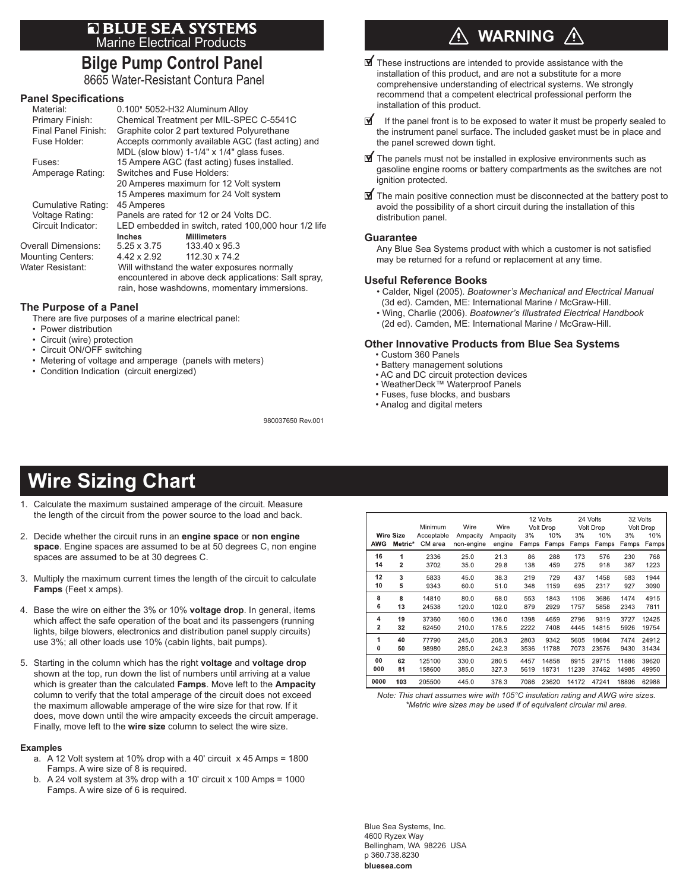# **E BLUE SEA SYSTEMS**<br>Marine Electrical Products

## **Bilge Pump Control Panel**

8665 Water-Resistant Contura Panel

#### **Panel Specifications**

| Material:                | 0.100" 5052-H32 Aluminum Alloy                                                                                                                    |                                                     |  |  |  |  |  |  |
|--------------------------|---------------------------------------------------------------------------------------------------------------------------------------------------|-----------------------------------------------------|--|--|--|--|--|--|
| Primary Finish:          |                                                                                                                                                   | Chemical Treatment per MIL-SPEC C-5541C             |  |  |  |  |  |  |
| Final Panel Finish:      | Graphite color 2 part textured Polyurethane                                                                                                       |                                                     |  |  |  |  |  |  |
| Fuse Holder:             |                                                                                                                                                   | Accepts commonly available AGC (fast acting) and    |  |  |  |  |  |  |
|                          |                                                                                                                                                   | MDL (slow blow) 1-1/4" x 1/4" glass fuses.          |  |  |  |  |  |  |
| Fuses:                   | 15 Ampere AGC (fast acting) fuses installed.                                                                                                      |                                                     |  |  |  |  |  |  |
| Amperage Rating:         |                                                                                                                                                   | Switches and Fuse Holders:                          |  |  |  |  |  |  |
|                          | 20 Amperes maximum for 12 Volt system                                                                                                             |                                                     |  |  |  |  |  |  |
|                          | 15 Amperes maximum for 24 Volt system                                                                                                             |                                                     |  |  |  |  |  |  |
| Cumulative Rating:       | 45 Amperes                                                                                                                                        |                                                     |  |  |  |  |  |  |
| Voltage Rating:          | Panels are rated for 12 or 24 Volts DC.                                                                                                           |                                                     |  |  |  |  |  |  |
| Circuit Indicator:       |                                                                                                                                                   | LED embedded in switch, rated 100,000 hour 1/2 life |  |  |  |  |  |  |
|                          | <b>Inches</b>                                                                                                                                     | <b>Millimeters</b>                                  |  |  |  |  |  |  |
| Overall Dimensions:      | 5.25 x 3.75                                                                                                                                       | 133.40 x 95.3                                       |  |  |  |  |  |  |
| <b>Mounting Centers:</b> | $4.42 \times 2.92$                                                                                                                                | 112.30 x 74.2                                       |  |  |  |  |  |  |
| Water Resistant:         | Will withstand the water exposures normally<br>encountered in above deck applications: Salt spray,<br>rain, hose washdowns, momentary immersions. |                                                     |  |  |  |  |  |  |
|                          |                                                                                                                                                   |                                                     |  |  |  |  |  |  |

#### **The Purpose of a Panel**

There are five purposes of a marine electrical panel:

- Power distribution
- Circuit (wire) protection
- Circuit ON/OFF switching
- Metering of voltage and amperage (panels with meters)
- Condition Indication (circuit energized)

## **WARNING**

- $\blacksquare$  These instructions are intended to provide assistance with the installation of this product, and are not a substitute for a more comprehensive understanding of electrical systems. We strongly recommend that a competent electrical professional perform the installation of this product.
- M If the panel front is to be exposed to water it must be properly sealed to the instrument panel surface. The included gasket must be in place and the panel screwed down tight.
- $\mathbf{\mathbb{F}}$  The panels must not be installed in explosive environments such as gasoline engine rooms or battery compartments as the switches are not ignition protected.
- $\mathbf{\mathcal{F}}$  The main positive connection must be disconnected at the battery post to avoid the possibility of a short circuit during the installation of this distribution panel.

#### **Guarantee**

980037650 Rev.001

Any Blue Sea Systems product with which a customer is not satisfied may be returned for a refund or replacement at any time.

#### **Useful Reference Books**

- Calder, Nigel (2005). *Boatowner's Mechanical and Electrical Manual*  (3d ed). Camden, ME: International Marine / McGraw-Hill.
- Wing, Charlie (2006). *Boatowner's Illustrated Electrical Handbook*  (2d ed). Camden, ME: International Marine / McGraw-Hill.

#### **Other Innovative Products from Blue Sea Systems**

- Custom 360 Panels
- Battery management solutions
- AC and DC circuit protection devices
- WeatherDeck™ Waterproof Panels
- Fuses, fuse blocks, and busbars
- Analog and digital meters

## **Wire Sizing Chart**

- 1. Calculate the maximum sustained amperage of the circuit. Measure the length of the circuit from the power source to the load and back.
- 2. Decide whether the circuit runs in an **engine space** or **non engine space**. Engine spaces are assumed to be at 50 degrees C, non engine spaces are assumed to be at 30 degrees C.
- 3. Multiply the maximum current times the length of the circuit to calculate **Famps** (Feet x amps).
- 4. Base the wire on either the 3% or 10% **voltage drop**. In general, items which affect the safe operation of the boat and its passengers (running lights, bilge blowers, electronics and distribution panel supply circuits) use 3%; all other loads use 10% (cabin lights, bait pumps).
- 5. Starting in the column which has the right **voltage** and **voltage drop** shown at the top, run down the list of numbers until arriving at a value which is greater than the calculated **Famps**. Move left to the **Ampacity** column to verify that the total amperage of the circuit does not exceed the maximum allowable amperage of the wire size for that row. If it does, move down until the wire ampacity exceeds the circuit amperage. Finally, move left to the **wire size** column to select the wire size.

#### **Examples**

- a. A 12 Volt system at 10% drop with a 40' circuit x 45 Amps = 1800 Famps. A wire size of 8 is required.
- b. A 24 volt system at 3% drop with a 10' circuit x 100 Amps = 1000 Famps. A wire size of 6 is required.

|      |                  | Minimum    | Wire       | Wire     | 12 Volts<br>Volt Drop |       | 24 Volts<br>Volt Drop |       | 32 Volts<br>Volt Drop |       |
|------|------------------|------------|------------|----------|-----------------------|-------|-----------------------|-------|-----------------------|-------|
| AWG  | <b>Wire Size</b> | Acceptable | Ampacity   | Ampacity | 3%                    | 10%   | 3%                    | 10%   | 3%                    | 10%   |
|      | Metric*          | CM area    | non-engine | engine   | Famps                 | Famps | Famps                 | Famps | Famps                 | Famps |
| 16   | 1                | 2336       | 25.0       | 21.3     | 86                    | 288   | 173                   | 576   | 230                   | 768   |
| 14   | $\overline{2}$   | 3702       | 35.0       | 29.8     | 138                   | 459   | 275                   | 918   | 367                   | 1223  |
| 12   | 3                | 5833       | 45.0       | 38.3     | 219                   | 729   | 437                   | 1458  | 583                   | 1944  |
| 10   | 5                | 9343       | 60.0       | 51.0     | 348                   | 1159  | 695                   | 2317  | 927                   | 3090  |
| 8    | 8                | 14810      | 80.0       | 68.0     | 553                   | 1843  | 1106                  | 3686  | 1474                  | 4915  |
| 6    | 13               | 24538      | 120.0      | 102.0    | 879                   | 2929  | 1757                  | 5858  | 2343                  | 7811  |
| 4    | 19               | 37360      | 160.0      | 136.0    | 1398                  | 4659  | 2796                  | 9319  | 3727                  | 12425 |
| 2    | 32               | 62450      | 210.0      | 178.5    | 2222                  | 7408  | 4445                  | 14815 | 5926                  | 19754 |
| 1    | 40               | 77790      | 245.0      | 208.3    | 2803                  | 9342  | 5605                  | 18684 | 7474                  | 24912 |
| 0    | 50               | 98980      | 285.0      | 242.3    | 3536                  | 11788 | 7073                  | 23576 | 9430                  | 31434 |
| 00   | 62               | 125100     | 330.0      | 280.5    | 4457                  | 14858 | 8915                  | 29715 | 11886                 | 39620 |
| 000  | 81               | 158600     | 385.0      | 327.3    | 5619                  | 18731 | 11239                 | 37462 | 14985                 | 49950 |
| 0000 | 103              | 205500     | 445.0      | 378.3    | 7086                  | 23620 | 14172                 | 47241 | 18896                 | 62988 |

*Note: This chart assumes wire with 105°C insulation rating and AWG wire sizes. \*Metric wire sizes may be used if of equivalent circular mil area.*

Blue Sea Systems, Inc. 4600 Ryzex Way Bellingham, WA 98226 USA p 360.738.8230 **bluesea.com**